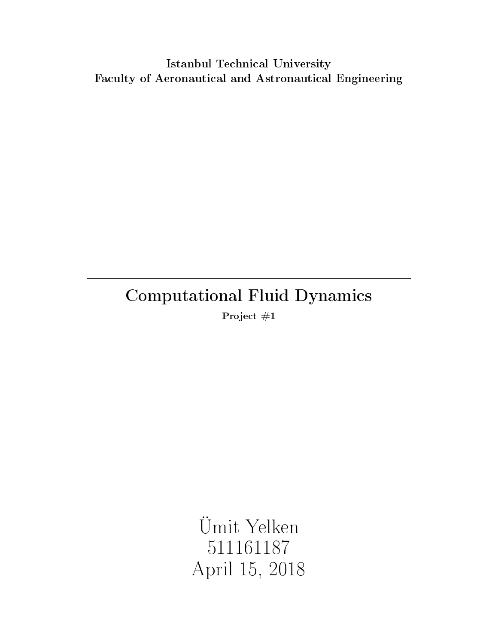# Istanbul Technical University Faculty of Aeronautical and Astronautical Engineering

# Computational Fluid Dynamics

Project #1

Ümit Yelken 511161187 April 15, 2018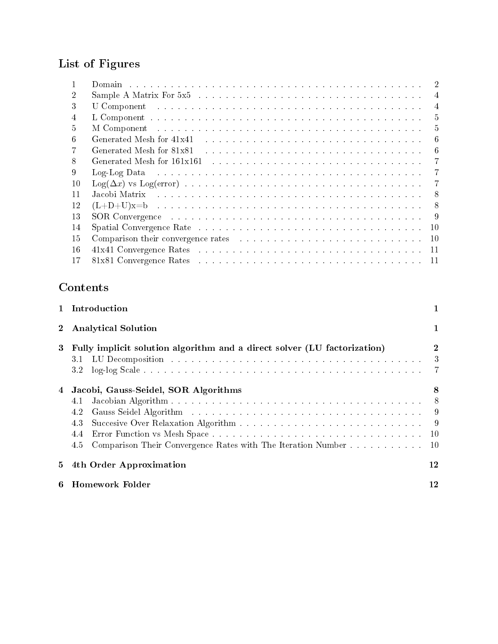# List of Figures

|    | $\overline{2}$                                                                                                                                                                                                                                   |
|----|--------------------------------------------------------------------------------------------------------------------------------------------------------------------------------------------------------------------------------------------------|
|    | Sample A Matrix For 5x5 (a) and a series and a series and a series of the series of the series of the series of the series of the series of the series of the series of the series of the series of the series of the series o<br>$\overline{4}$ |
| 3  | $\overline{4}$<br>U Component because in the contract of the contract of the contract of the contract of the contract of the contract of the contract of the contract of the contract of the contract of the contract of the contract of the con |
| 4  | 5                                                                                                                                                                                                                                                |
| h. | 5                                                                                                                                                                                                                                                |
| 6  | Generated Mesh for 41x41 (a) in the contract of the contract of the contract of the contract of the contract of the contract of the contract of the contract of the contract of the contract of the contract of the contract o<br>6              |
|    | Generated Mesh for 81x81<br>-6                                                                                                                                                                                                                   |
| 8  | 7                                                                                                                                                                                                                                                |
| 9  | Log-Log Data research in the contract of the contract of the contract of the contract of the contract of the contract of the contract of the contract of the contract of the contract of the contract of the contract of the c<br>7              |
| 10 |                                                                                                                                                                                                                                                  |
| 11 | Jacobi Matrix and a consequence of the contract of the consequence of the set of the consequence of the consequence of the consequence of the consequence of the consequence of the consequence of the consequence of the cons<br>8              |
| 12 | 8                                                                                                                                                                                                                                                |
| 13 | 9                                                                                                                                                                                                                                                |
| 14 | Spatial Convergence Rate resources in the contract of the state of the state of the state of the state of the state of the state of the state of the state of the state of the state of the state of the state of the state of<br>10             |
| 15 | Comparison their convergence rates enterstanding to the contract of the contract of the contract of the contract of the contract of the contract of the contract of the contract of the contract of the contract of the contra<br>10             |
| 16 | 41x41 Convergence Rates entertainment and the state of the state of the state and the state of the state of the state of the state of the state of the state of the state of the state of the state of the state of the state<br>11              |
| 17 | 11                                                                                                                                                                                                                                               |

# Contents

|                | 1 Introduction                                                                                                                                                                                                                                                                                                                                                          |                             |  |  |  |  |  |  |  |  |  |  |
|----------------|-------------------------------------------------------------------------------------------------------------------------------------------------------------------------------------------------------------------------------------------------------------------------------------------------------------------------------------------------------------------------|-----------------------------|--|--|--|--|--|--|--|--|--|--|
| $\mathbf 2$    | <b>Analytical Solution</b>                                                                                                                                                                                                                                                                                                                                              |                             |  |  |  |  |  |  |  |  |  |  |
| 3              | Fully implicit solution algorithm and a direct solver (LU factorization)<br>LU Decomposition and a construction of the construction of the construction of the construction of the construction of the construction of the construction of the construction of the construction of the construction of the<br>3.1<br>3.2                                                | $\mathbf{2}$<br>3           |  |  |  |  |  |  |  |  |  |  |
| $\overline{4}$ | Jacobi, Gauss-Seidel, SOR Algorithms<br>4.1<br>Gauss Seidel Algorithm (and all algorithm (and all algorithm (algorithm algorithm algorithm algorithm algorithm algorithm algorithm algorithm algorithm algorithm algorithm algorithm algorithm algorithm algorithm algorithm<br>4.2<br>43<br>4.4<br>Comparison Their Convergence Rates with The Iteration Number<br>4.5 | 8<br>8 <sup>8</sup><br>- 10 |  |  |  |  |  |  |  |  |  |  |
| 5.             | 4th Order Approximation                                                                                                                                                                                                                                                                                                                                                 | 12                          |  |  |  |  |  |  |  |  |  |  |
|                | Homework Folder                                                                                                                                                                                                                                                                                                                                                         | 12                          |  |  |  |  |  |  |  |  |  |  |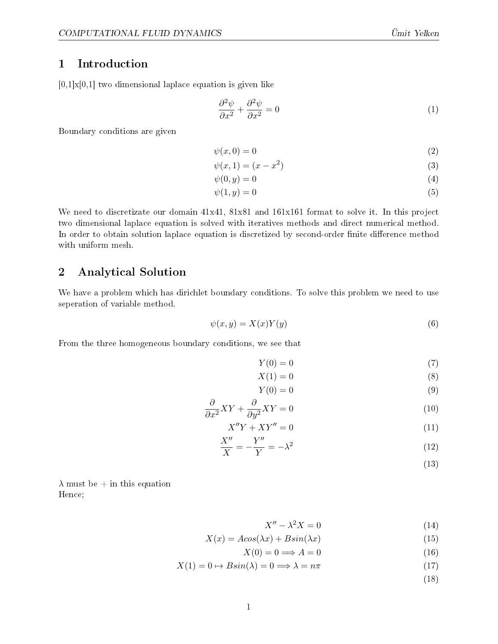# <span id="page-2-0"></span>1 Introduction

 $[0,1] \times [0,1]$  two dimensional laplace equation is given like

$$
\frac{\partial^2 \psi}{\partial x^2} + \frac{\partial^2 \psi}{\partial x^2} = 0\tag{1}
$$

Boundary conditions are given

$$
\psi(x,0) = 0\tag{2}
$$

$$
\psi(x,1) = (x - x^2) \tag{3}
$$

$$
\psi(0, y) = 0 \tag{4}
$$

$$
\psi(1, y) = 0 \tag{5}
$$

We need to discretizate our domain  $41x41$ ,  $81x81$  and  $161x161$  format to solve it. In this project two dimensional laplace equation is solved with iteratives methods and direct numerical method. In order to obtain solution laplace equation is discretized by second-order finite difference method with uniform mesh.

## <span id="page-2-1"></span>2 Analytical Solution

We have a problem which has dirichlet boundary conditions. To solve this problem we need to use seperation of variable method.

$$
\psi(x,y) = X(x)Y(y) \tag{6}
$$

From the three homogeneous boundary conditions, we see that

$$
Y(0) = 0 \tag{7}
$$

$$
X(1) = 0 \tag{8}
$$

$$
Y(0) = 0 \tag{9}
$$

$$
\frac{\partial}{\partial x^2}XY + \frac{\partial}{\partial y^2}XY = 0\tag{10}
$$

$$
X''Y + XY'' = 0 \tag{11}
$$

$$
\frac{X''}{X} = -\frac{Y''}{Y} = -\lambda^2\tag{12}
$$

(13)

 $\lambda$  must be  $+$  in this equation Hence;

$$
X'' - \lambda^2 X = 0 \tag{14}
$$

$$
X(x) = A\cos(\lambda x) + B\sin(\lambda x) \tag{15}
$$

$$
X(0) = 0 \Longrightarrow A = 0 \tag{16}
$$

$$
X(1) = 0 \mapsto B\sin(\lambda) = 0 \Longrightarrow \lambda = n\pi \tag{17}
$$

(18)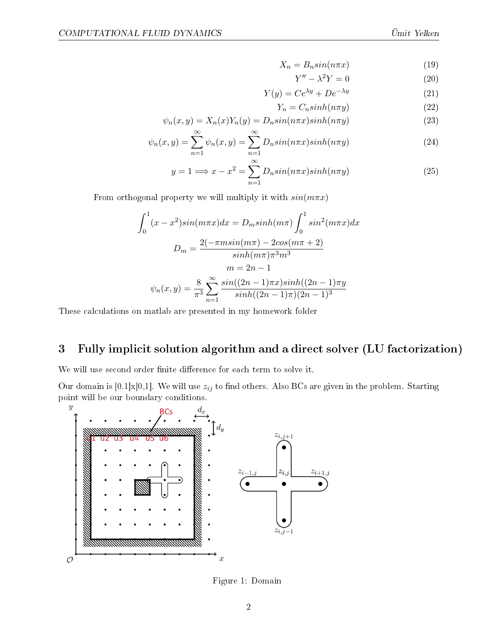$$
X_n = B_n \sin(n\pi x) \tag{19}
$$

$$
Y'' - \lambda^2 Y = 0 \tag{20}
$$

$$
Y(y) = Ce^{\lambda y} + De^{-\lambda y}
$$
 (21)

$$
Y_n = C_n \sinh(n\pi y) \tag{22}
$$

$$
\psi_n(x, y) = X_n(x)Y_n(y) = D_n \sin(n\pi x) \sinh(n\pi y)
$$
\n(23)

$$
\psi_n(x,y) = \sum_{n=1}^{\infty} \psi_n(x,y) = \sum_{n=1}^{\infty} D_n \sin(n\pi x) \sinh(n\pi y)
$$
\n(24)

$$
y = 1 \Longrightarrow x - x^2 = \sum_{n=1}^{\infty} D_n \sin(n\pi x) \sinh(n\pi y)
$$
 (25)

From orthogonal property we will multiply it with  $sin(m\pi x)$ 

$$
\int_0^1 (x - x^2) \sin(m\pi x) dx = D_m \sinh(m\pi) \int_0^1 \sin^2(m\pi x) dx
$$

$$
D_m = \frac{2(-\pi m \sin(m\pi) - 2\cos(m\pi + 2))}{\sinh(m\pi)\pi^3 m^3}
$$

$$
m = 2n - 1
$$

$$
\psi_n(x, y) = \frac{8}{\pi^3} \sum_{n=1}^\infty \frac{\sin((2n - 1)\pi x)\sinh((2n - 1)\pi y)}{\sinh((2n - 1)\pi)(2n - 1)^3}
$$

These calculations on matlab are presented in my homework folder

## <span id="page-3-1"></span>3 Fully implicit solution algorithm and a direct solver (LU factorization)

We will use second order finite difference for each term to solve it.

Our domain is [0.1]x[0,1]. We will use  $z_{ij}$  to find others. Also BCs are given in the problem. Starting point will be our boundary conditions.



<span id="page-3-0"></span>Figure 1: Domain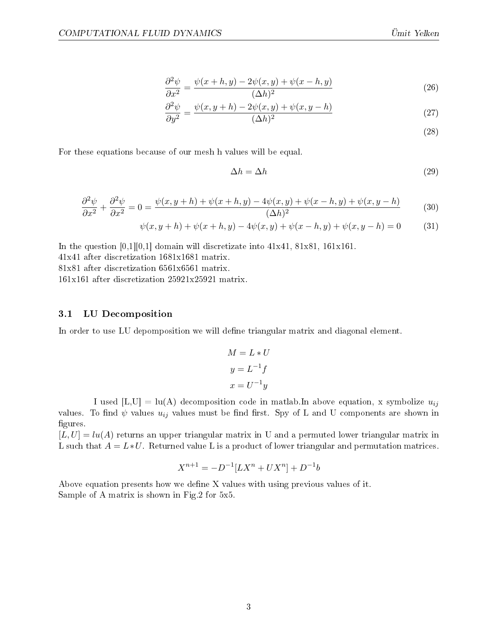$$
\frac{\partial^2 \psi}{\partial x^2} = \frac{\psi(x+h,y) - 2\psi(x,y) + \psi(x-h,y)}{(\Delta h)^2} \tag{26}
$$

$$
\frac{\partial^2 \psi}{\partial y^2} = \frac{\psi(x, y+h) - 2\psi(x, y) + \psi(x, y-h)}{(\Delta h)^2}
$$
(27)

(28)

For these equations because of our mesh h values will be equal.

$$
\Delta h = \Delta h \tag{29}
$$

$$
\frac{\partial^2 \psi}{\partial x^2} + \frac{\partial^2 \psi}{\partial x^2} = 0 = \frac{\psi(x, y + h) + \psi(x + h, y) - 4\psi(x, y) + \psi(x - h, y) + \psi(x, y - h)}{(\Delta h)^2}
$$
(30)

$$
\psi(x, y+h) + \psi(x+h, y) - 4\psi(x, y) + \psi(x-h, y) + \psi(x, y-h) = 0 \tag{31}
$$

In the question  $[0,1][0,1]$  domain will discretizate into  $41x41, 81x81, 161x161$ .

41x41 after discretization 1681x1681 matrix.

81x81 after discretization 6561x6561 matrix.

161x161 after discretization 25921x25921 matrix.

#### <span id="page-4-0"></span>3.1 LU Decomposition

In order to use LU depomposition we will define triangular matrix and diagonal element.

$$
M = L * U
$$

$$
y = L^{-1}f
$$

$$
x = U^{-1}y
$$

I used  $[L, U] = lu(A)$  decomposition code in matlab. In above equation, x symbolize  $u_{ij}$ values. To find  $\psi$  values  $u_{ij}$  values must be find first. Spy of L and U components are shown in figures.

 $[L, U] = l(u(A))$  returns an upper triangular matrix in U and a permuted lower triangular matrix in L such that  $A = L * U$ . Returned value L is a product of lower triangular and permutation matrices.

$$
X^{n+1} = -D^{-1}[LX^n + UX^n] + D^{-1}b
$$

Above equation presents how we dene X values with using previous values of it. Sample of A matrix is shown in Fig[.2](#page-5-0) for 5x5.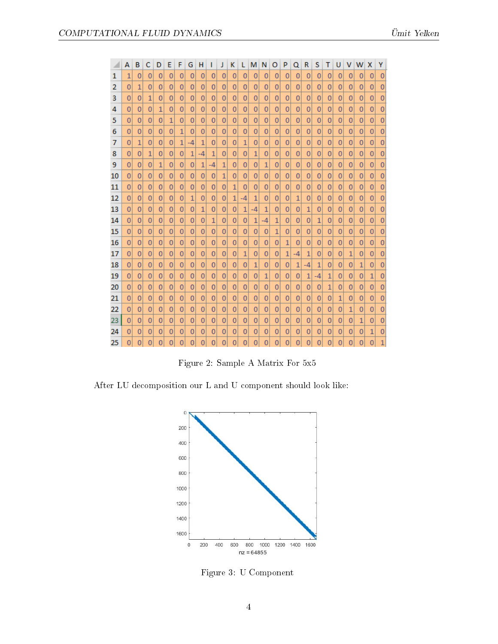|    | А | в              | c              | D              | E              | F              | G    | н              |                | J | κ            |                | м  | N            | O              | P              | Q              | R              | s            | Τ | υ |                | w | х              | Y              |
|----|---|----------------|----------------|----------------|----------------|----------------|------|----------------|----------------|---|--------------|----------------|----|--------------|----------------|----------------|----------------|----------------|--------------|---|---|----------------|---|----------------|----------------|
| 1  | 1 | 0              | 0              | 0              | 0              | 0              | 0    | 0              | 0              | 0 | 0            | $\mathbf{0}$   | 0  | 0            | 0              | 0              | 0              | 0              | 0            | 0 | 0 | 0              | 0 | 0              | 0              |
| 2  | 0 | 1              | 0              | 0              | 0              | 0              | 0    | 0              | 0              | 0 | 0            | 0              | 0  | 0            | 0              | 0              | 0              | 0              | 0            | 0 | 0 | 0              | 0 | 0              | 0              |
| 3  | 0 | $\mathbf{0}$   | 1              | 0              | 0              | 0              | 0    | 0              | 0              | 0 | 0            | 0              | 0  | $\mathbf{0}$ | $\mathbf{0}$   | 0              | 0              | 0              | 0            | 0 | 0 | 0              | 0 | 0              | 0              |
| 4  | 0 | 0              | 0              | 1              | 0              | 0              | 0    | 0              | 0              | 0 | 0            | 0              | 0  | 0            | 0              | 0              | 0              | 0              | 0            | 0 | 0 | 0              | 0 | 0              | 0              |
| 5  | 0 | $\mathbf 0$    | 0              | 0              | 1              | 0              | 0    | 0              | 0              | 0 | 0            | $\mathbf 0$    | 0  | 0            | $\mathbf 0$    | 0              | 0              | 0              | 0            | 0 | 0 | 0              | 0 | 0              | 0              |
| 6  | 0 | $\mathbf{0}$   | $\overline{0}$ | 0              | 0              | 1              | 0    | 0              | 0              | 0 | 0            | $\bf{0}$       | 0  | 0            | $\bf{0}$       | 0              | 0              | 0              | 0            | 0 | 0 | $\mathbf{0}$   | 0 | 0              | 0              |
| 7  | 0 | 1              | 0              | 0              | 0              | 1              | $-4$ | 1              | 0              | 0 | 0            | 1              | 0  | 0            | $\mathbf 0$    | 0              | 0              | 0              | 0            | 0 | 0 | 0              | 0 | 0              | 0              |
| 8  | 0 | 0              | 1              | 0              | 0              | 0              | 1    | $-4$           | 1              | 0 | 0            | 0              | 1  | 0            | 0              | 0              | 0              | 0              | 0            | 0 | 0 | 0              | 0 | 0              | 0              |
| 9  | 0 | 0              | 0              | 1              | 0              | 0              | 0    | 1              | -4             | 1 | 0            | 0              | 0  | 1            | 0              | 0              | 0              | 0              | 0            | 0 | 0 | 0              | 0 | 0              | 0              |
| 10 | 0 | 0              | 0              | 0              | 0              | 0              | 0    | 0              | 0              | 1 | 0            | 0              | 0  | 0            | 0              | 0              | 0              | $\overline{0}$ | 0            | 0 | 0 | 0              | 0 | 0              | 0              |
| 11 | 0 | 0              | 0              | 0              | 0              | 0              | 0    | 0              | 0              | 0 | $\mathbf{1}$ | 0              | 0  | 0            | 0              | 0              | 0              | 0              | 0            | 0 | 0 | 0              | 0 | 0              | 0              |
| 12 | 0 | 0              | 0              | 0              | 0              | 0              | 1    | 0              | 0              | 0 | 1            | -4             | 1  | 0            | 0              | 0              | 1              | 0              | 0            | 0 | 0 | 0              | 0 | 0              | 0              |
| 13 | 0 | 0              | 0              | 0              | $\mathbf 0$    | 0              | 0    | 1              | 0              | 0 | 0            | $\mathbf{1}$   | -4 | 1            | $\bf{0}$       | 0              | 0              | 1              | $\mathbf 0$  | 0 | 0 | $\mathbf{0}$   | 0 | 0              | $\overline{0}$ |
| 14 | 0 | $\mathbf{0}$   | 0              | 0              | 0              | 0              | 0    | 0              | 1              | 0 | 0            | 0              | 1  | -4           | 1              | 0              | 0              | 0              | 1            | 0 | 0 | 0              | 0 | 0              | $\overline{0}$ |
| 15 | 0 | $\mathbf{0}$   | $\overline{0}$ | 0              | $\mathbf{0}$   | 0              | 0    | 0              | 0              | 0 | 0            | $\mathbf{0}$   | 0  | 0            | 1              | 0              | 0              | 0              | $\mathbf{0}$ | 0 | 0 | $\overline{0}$ | 0 | 0              | $\mathbf{0}$   |
| 16 | 0 | 0              | 0              | 0              | 0              | 0              | 0    | 0              | 0              | 0 | 0            | 0              | 0  | 0            | 0              | 1              | 0              | 0              | 0            | 0 | 0 | 0              | 0 | 0              | 0              |
| 17 | 0 | 0              | 0              | 0              | 0              | 0              | 0    | 0              | 0              | 0 | 0            | 1              | 0  | 0            | 0              | 1              | -4             | 1              | 0            | 0 | 0 | 1              | 0 | 0              | 0              |
| 18 | 0 | 0              | 0              | 0              | 0              | 0              | 0    | 0              | 0              | 0 | 0            | $\mathbf{0}$   | 1  | 0            | $\bf{0}$       | 0              | 1              | $-4$           | 1            | 0 | 0 | 0              | 1 | 0              | $\Omega$       |
| 19 | 0 | 0              | 0              | 0              | 0              | 0              | 0    | 0              | 0              | 0 | 0            | 0              | 0  | 1            | 0              | 0              | 0              | 1              | -4           | 1 | 0 | 0              | 0 | $\mathbf{1}$   | $\overline{0}$ |
| 20 | 0 | 0              | 0              | 0              | 0              | 0              | 0    | 0              | 0              | 0 | 0            | 0              | 0  | 0            | 0              | 0              | 0              | 0              | 0            | 1 | 0 | 0              | 0 | 0              | 0              |
| 21 | 0 | $\mathbf 0$    | 0              | 0              | $\overline{0}$ | 0              | 0    | 0              | $\overline{0}$ | 0 | 0            | $\overline{0}$ | 0  | 0            | $\overline{0}$ | 0              | 0              | 0              | 0            | 0 | 1 | 0              | 0 | 0              | $\overline{0}$ |
| 22 | 0 | 0              | 0              | 0              | 0              | 0              | 0    | 0              | 0              | 0 | 0            | 0              | 0  | 0            | 0              | 0              | 0              | 0              | 0            | 0 | 0 | 1              | 0 | 0              | 0              |
| 23 | 0 | $\mathbf{0}$   | 0              | 0              | 0              | 0              | 0    | 0              | 0              | 0 | 0            | 0              | 0  | 0            | $\bf{0}$       | 0              | 0              | 0              | $\mathbf{0}$ | 0 | 0 | 0              | 1 | 0              | 0              |
| 24 | 0 | 0              | 0              | 0              | 0              | 0              | 0    | 0              | 0              | 0 | 0            | 0              | 0  | 0            | 0              | 0              | 0              | 0              | 0            | 0 | 0 | 0              | 0 | 1              | 0              |
| 25 | 0 | $\overline{0}$ | 0              | $\overline{0}$ | 0              | $\overline{0}$ | 0    | $\overline{0}$ | $\overline{0}$ | 0 | 0            | $\overline{0}$ | 0  | 0            | 0              | $\overline{0}$ | $\overline{0}$ | $\overline{0}$ | 0            | 0 | 0 | $\overline{0}$ | 0 | $\overline{0}$ | $\mathbf{1}$   |

<span id="page-5-0"></span>Figure 2: Sample A Matrix For 5x5

After LU decomposition our L and U component should look like:



<span id="page-5-1"></span>Figure 3: U Component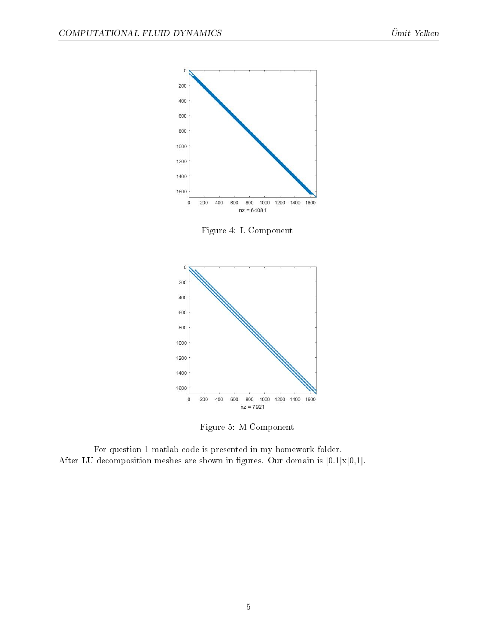

<span id="page-6-0"></span>Figure 4: L Component



<span id="page-6-1"></span>Figure 5: M Component

For question 1 matlab code is presented in my homework folder. After LU decomposition meshes are shown in figures. Our domain is  $[0.1] \times [0,1]$ .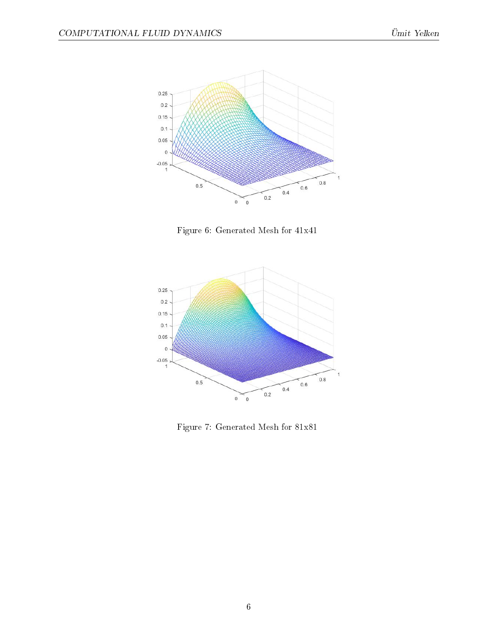

<span id="page-7-0"></span>Figure 6: Generated Mesh for 41x41



<span id="page-7-1"></span>Figure 7: Generated Mesh for 81x81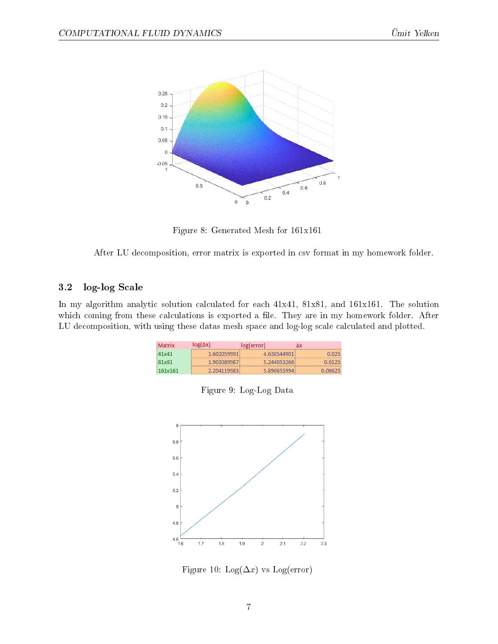

<span id="page-8-0"></span>Figure 8: Generated Mesh for 161x161

After LU decomposition, error matrix is exported in csv format in my homework folder.

### <span id="page-8-3"></span>3.2 log-log Scale

In my algorithm analytic solution calculated for each 41x41, 81x81, and 161x161. The solution which coming from these calculations is exported a file. They are in my homework folder. After LU decomposition, with using these datas mesh space and log-log scale calculated and plotted.

| Matrix  | $log(\Delta x)$ | log(error)  | Δx      |
|---------|-----------------|-------------|---------|
| 41x41   | 1.602059991     | 4.638544901 | 0.025   |
| 81x81   | 1.903089987     | 5.244053266 | 0.0125  |
| 161x161 | 2.204119983     | 5.890655994 | 0.00625 |

<span id="page-8-1"></span>

|  |  | Figure 9: Log-Log Data |  |
|--|--|------------------------|--|
|--|--|------------------------|--|



<span id="page-8-2"></span>Figure 10: Log( $\Delta x$ ) vs Log(error)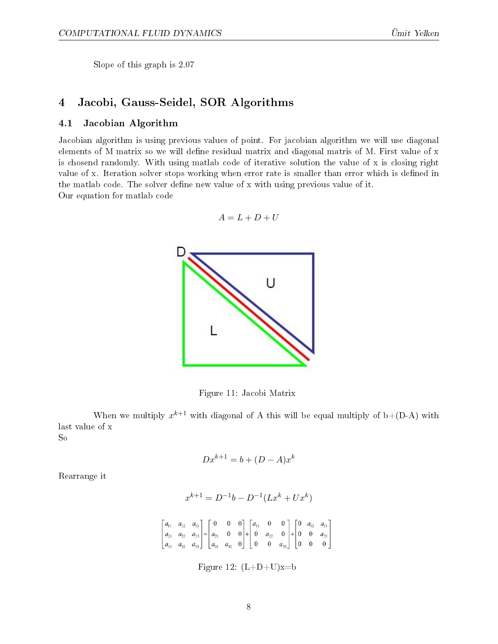Slope of this graph is 2.07

## <span id="page-9-2"></span>4 Jacobi, Gauss-Seidel, SOR Algorithms

#### <span id="page-9-3"></span>4.1 Jacobian Algorithm

Jacobian algorithm is using previous values of point. For jacobian algorithm we will use diagonal elements of M matrix so we will define residual matrix and diagonal matris of M. First value of x is chosend randomly. With using matlab code of iterative solution the value of x is closing right value of x. Iteration solver stops working when error rate is smaller than error which is defined in the matlab code. The solver define new value of x with using previous value of it. Our equation for matlab code

$$
A=L+D+U
$$



<span id="page-9-0"></span>Figure 11: Jacobi Matrix

When we multiply  $x^{k+1}$  with diagonal of A this will be equal multiply of b+(D-A) with last value of x So

$$
Dx^{k+1} = b + (D - A)x^k
$$

Rearrange it

$$
x^{k+1} = D^{-1}b - D^{-1}(Lx^k + Ux^k)
$$

$$
\begin{bmatrix} a_{11} & a_{12} & a_{13} \ a_{21} & a_{22} & a_{23} \ a_{31} & a_{32} & a_{33} \end{bmatrix} = \begin{bmatrix} 0 & 0 & 0 \ a_{21} & 0 & 0 \ a_{31} & a_{32} & 0 \end{bmatrix} + \begin{bmatrix} a_{11} & 0 & 0 \ 0 & a_{22} & 0 \ 0 & 0 & a_{33} \end{bmatrix} + \begin{bmatrix} 0 & a_{12} & a_{13} \ 0 & 0 & a_{23} \ 0 & 0 & 0 \end{bmatrix}
$$

<span id="page-9-1"></span>Figure 12:  $(L+D+U)x=b$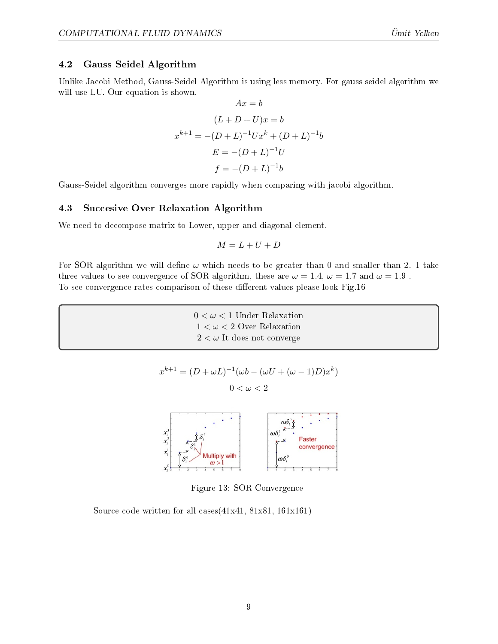#### <span id="page-10-1"></span>4.2 Gauss Seidel Algorithm

Unlike Jacobi Method, Gauss-Seidel Algorithm is using less memory. For gauss seidel algorithm we will use LU. Our equation is shown.

$$
Ax = b
$$
  
\n
$$
(L + D + U)x = b
$$
  
\n
$$
x^{k+1} = -(D + L)^{-1}Ux^{k} + (D + L)^{-1}b
$$
  
\n
$$
E = -(D + L)^{-1}U
$$
  
\n
$$
f = -(D + L)^{-1}b
$$

Gauss-Seidel algorithm converges more rapidly when comparing with jacobi algorithm.

#### <span id="page-10-2"></span>4.3 Succesive Over Relaxation Algorithm

We need to decompose matrix to Lower, upper and diagonal element.

$$
M=L+U+D
$$

For SOR algorithm we will define  $\omega$  which needs to be greater than 0 and smaller than 2. I take three values to see convergence of SOR algorithm, these are  $\omega = 1.4$ ,  $\omega = 1.7$  and  $\omega = 1.9$ . To see convergence rates comparison of these different values please look Fig[.16](#page-12-0)

> $0 < \omega < 1$  Under Relaxation  $1 < \omega < 2$  Over Relaxation  $2 < \omega$  It does not converge

$$
x^{k+1} = (D + \omega L)^{-1}(\omega b - (\omega U + (\omega - 1)D)x^k)
$$

$$
0 < \omega < 2
$$



<span id="page-10-0"></span>Figure 13: SOR Convergence

Source code written for all cases $(41x41, 81x81, 161x161)$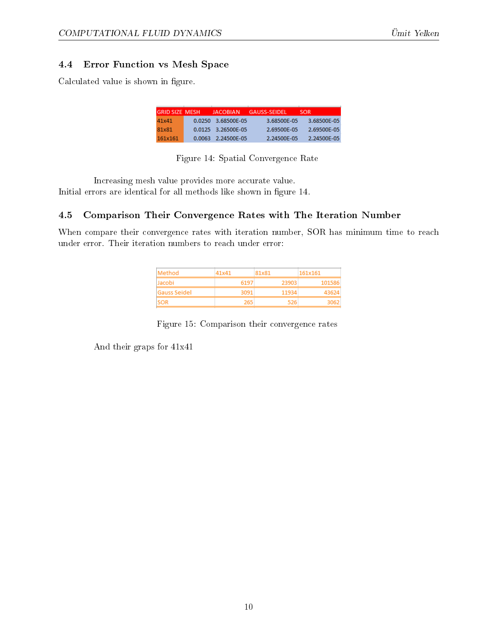#### <span id="page-11-2"></span>4.4 Error Function vs Mesh Space

Calculated value is shown in figure.

| <b>GRID SIZE MESH</b> | <b>JACOBIAN</b>    | <b>GAUSS-SEIDEL</b> | <b>SOR</b>  |
|-----------------------|--------------------|---------------------|-------------|
| 41x41                 | 0.0250 3.68500F-05 | 3.68500F-05         | 3.68500F-05 |
| 81x81                 | 0.0125 3.26500F-05 | 2.69500F-05         | 2.69500F-05 |
| 161x161               | 0.0063 2.24500F-05 | 2.24500F-05         | 2.24500F-05 |

<span id="page-11-0"></span>Figure 14: Spatial Convergence Rate

Increasing mesh value provides more accurate value. Initial errors are identical for all methods like shown in gure [14.](#page-11-0)

#### <span id="page-11-3"></span>4.5 Comparison Their Convergence Rates with The Iteration Number

When compare their convergence rates with iteration number, SOR has minimum time to reach under error. Their iteration numbers to reach under error:

| Method       | 41 x 41 | 81x81 | 161x161 |
|--------------|---------|-------|---------|
| llacobi      | 6197    | 23903 | 101586  |
| Gauss Seidel | 3091    | 11934 |         |
| <b>ISOR</b>  | 265     | 526.  |         |

<span id="page-11-1"></span>Figure 15: Comparison their convergence rates

And their graps for 41x41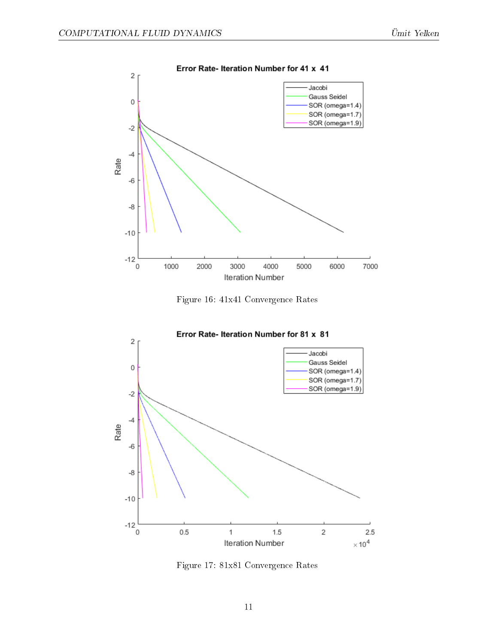

<span id="page-12-0"></span>Figure 16: 41x41 Convergence Rates



<span id="page-12-1"></span>Figure 17: 81x81 Convergence Rates